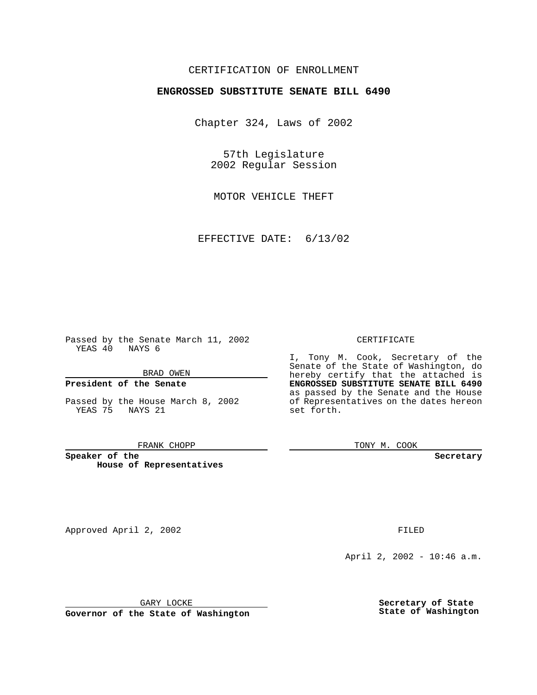## CERTIFICATION OF ENROLLMENT

# **ENGROSSED SUBSTITUTE SENATE BILL 6490**

Chapter 324, Laws of 2002

57th Legislature 2002 Regular Session

MOTOR VEHICLE THEFT

EFFECTIVE DATE: 6/13/02

Passed by the Senate March 11, 2002 YEAS 40 NAYS 6

BRAD OWEN

## **President of the Senate**

Passed by the House March 8, 2002 YEAS 75 NAYS 21

### FRANK CHOPP

**Speaker of the House of Representatives** CERTIFICATE

I, Tony M. Cook, Secretary of the Senate of the State of Washington, do hereby certify that the attached is **ENGROSSED SUBSTITUTE SENATE BILL 6490** as passed by the Senate and the House of Representatives on the dates hereon set forth.

TONY M. COOK

**Secretary**

Approved April 2, 2002 **FILED** 

April 2, 2002 - 10:46 a.m.

GARY LOCKE

**Governor of the State of Washington**

**Secretary of State State of Washington**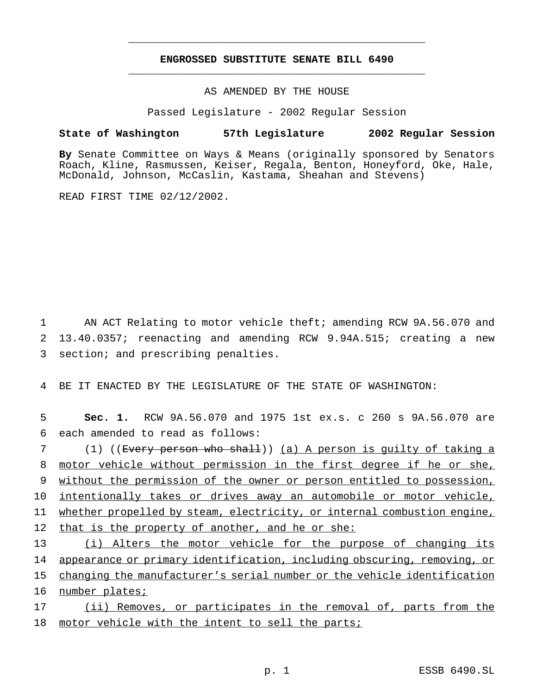## **ENGROSSED SUBSTITUTE SENATE BILL 6490** \_\_\_\_\_\_\_\_\_\_\_\_\_\_\_\_\_\_\_\_\_\_\_\_\_\_\_\_\_\_\_\_\_\_\_\_\_\_\_\_\_\_\_\_\_\_\_

\_\_\_\_\_\_\_\_\_\_\_\_\_\_\_\_\_\_\_\_\_\_\_\_\_\_\_\_\_\_\_\_\_\_\_\_\_\_\_\_\_\_\_\_\_\_\_

## AS AMENDED BY THE HOUSE

Passed Legislature - 2002 Regular Session

## **State of Washington 57th Legislature 2002 Regular Session**

**By** Senate Committee on Ways & Means (originally sponsored by Senators Roach, Kline, Rasmussen, Keiser, Regala, Benton, Honeyford, Oke, Hale, McDonald, Johnson, McCaslin, Kastama, Sheahan and Stevens)

READ FIRST TIME 02/12/2002.

1 AN ACT Relating to motor vehicle theft; amending RCW 9A.56.070 and 2 13.40.0357; reenacting and amending RCW 9.94A.515; creating a new 3 section; and prescribing penalties.

4 BE IT ENACTED BY THE LEGISLATURE OF THE STATE OF WASHINGTON:

5 **Sec. 1.** RCW 9A.56.070 and 1975 1st ex.s. c 260 s 9A.56.070 are 6 each amended to read as follows:

 (1) ((Every person who shall)) (a) A person is guilty of taking a motor vehicle without permission in the first degree if he or she, without the permission of the owner or person entitled to possession, intentionally takes or drives away an automobile or motor vehicle, whether propelled by steam, electricity, or internal combustion engine, that is the property of another, and he or she: (i) Alters the motor vehicle for the purpose of changing its

14 appearance or primary identification, including obscuring, removing, or 15 changing the manufacturer's serial number or the vehicle identification 16 number plates;

17 (ii) Removes, or participates in the removal of, parts from the 18 motor vehicle with the intent to sell the parts;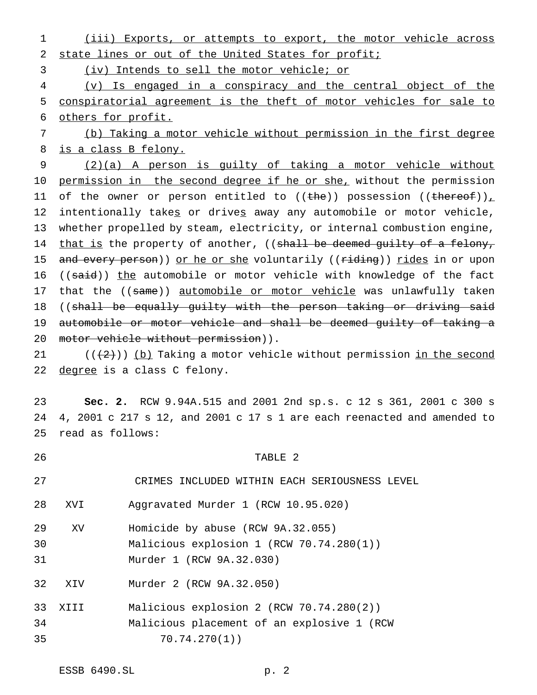(iii) Exports, or attempts to export, the motor vehicle across state lines or out of the United States for profit; (iv) Intends to sell the motor vehicle; or (v) Is engaged in a conspiracy and the central object of the conspiratorial agreement is the theft of motor vehicles for sale to others for profit. (b) Taking a motor vehicle without permission in the first degree is a class B felony. (2)(a) A person is guilty of taking a motor vehicle without 10 permission in the second degree if he or she, without the permission 11 of the owner or person entitled to ((the)) possession ((thereof)), 12 intentionally takes or drives away any automobile or motor vehicle, whether propelled by steam, electricity, or internal combustion engine, 14 that is the property of another, ((shall be deemed guilty of a felony, 15 and every person)) or he or she voluntarily ((riding)) rides in or upon 16 ((said)) the automobile or motor vehicle with knowledge of the fact 17 that the ((same)) automobile or motor vehicle was unlawfully taken ((shall be equally guilty with the person taking or driving said automobile or motor vehicle and shall be deemed guilty of taking a 20 motor vehicle without permission)).

 $((2))$  (b) Taking a motor vehicle without permission in the second 22 degree is a class C felony.

 **Sec. 2.** RCW 9.94A.515 and 2001 2nd sp.s. c 12 s 361, 2001 c 300 s 4, 2001 c 217 s 12, and 2001 c 17 s 1 are each reenacted and amended to read as follows:

 TABLE 2 CRIMES INCLUDED WITHIN EACH SERIOUSNESS LEVEL XVI Aggravated Murder 1 (RCW 10.95.020) XV Homicide by abuse (RCW 9A.32.055) Malicious explosion 1 (RCW 70.74.280(1)) Murder 1 (RCW 9A.32.030) XIV Murder 2 (RCW 9A.32.050) XIII Malicious explosion 2 (RCW 70.74.280(2)) Malicious placement of an explosive 1 (RCW 70.74.270(1))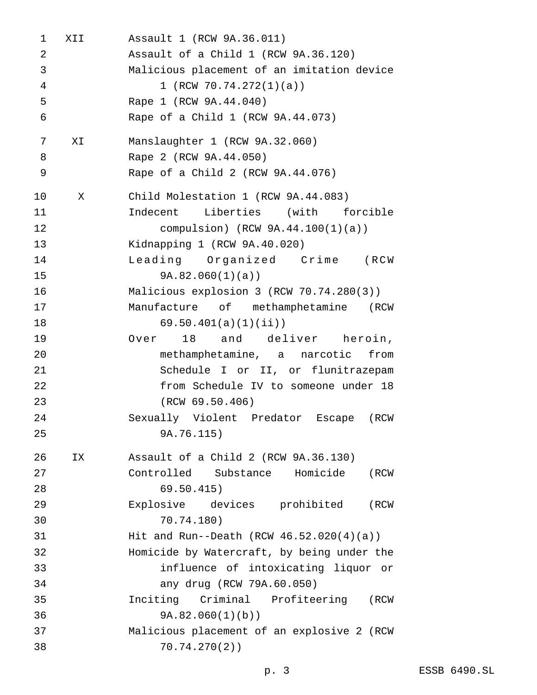XII Assault 1 (RCW 9A.36.011) Assault of a Child 1 (RCW 9A.36.120) Malicious placement of an imitation device 1 (RCW 70.74.272(1)(a)) Rape 1 (RCW 9A.44.040) Rape of a Child 1 (RCW 9A.44.073) XI Manslaughter 1 (RCW 9A.32.060) Rape 2 (RCW 9A.44.050) Rape of a Child 2 (RCW 9A.44.076) X Child Molestation 1 (RCW 9A.44.083) Indecent Liberties (with forcible compulsion) (RCW 9A.44.100(1)(a)) Kidnapping 1 (RCW 9A.40.020) Leading Organized Crime (RCW 9A.82.060(1)(a)) Malicious explosion 3 (RCW 70.74.280(3)) Manufacture of methamphetamine (RCW 69.50.401(a)(1)(ii)) Over 18 and deliver heroin, methamphetamine, a narcotic from Schedule I or II, or flunitrazepam from Schedule IV to someone under 18 (RCW 69.50.406) Sexually Violent Predator Escape (RCW 9A.76.115) IX Assault of a Child 2 (RCW 9A.36.130) Controlled Substance Homicide (RCW 69.50.415) Explosive devices prohibited (RCW 70.74.180) Hit and Run--Death (RCW 46.52.020(4)(a)) Homicide by Watercraft, by being under the influence of intoxicating liquor or any drug (RCW 79A.60.050) Inciting Criminal Profiteering (RCW 9A.82.060(1)(b)) Malicious placement of an explosive 2 (RCW 70.74.270(2))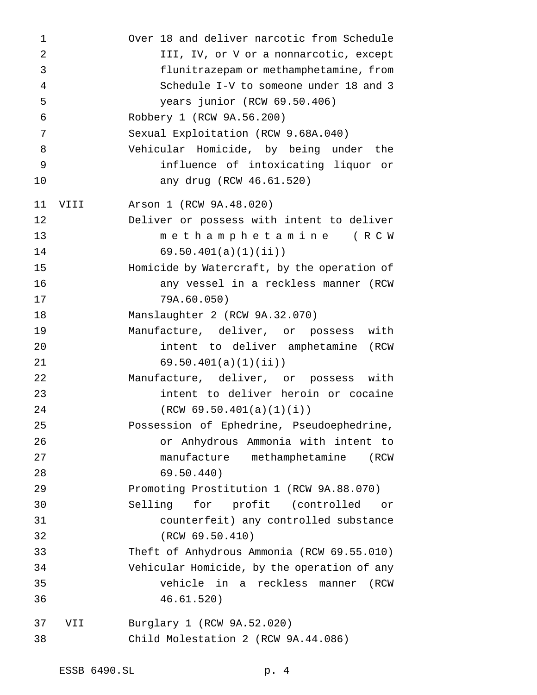| 1              |      | Over 18 and deliver narcotic from Schedule  |
|----------------|------|---------------------------------------------|
| $\overline{2}$ |      | III, IV, or V or a nonnarcotic, except      |
| 3              |      | flunitrazepam or methamphetamine, from      |
| 4              |      | Schedule I-V to someone under 18 and 3      |
| 5              |      | years junior (RCW 69.50.406)                |
| 6              |      | Robbery 1 (RCW 9A.56.200)                   |
| 7              |      | Sexual Exploitation (RCW 9.68A.040)         |
| 8              |      | Vehicular Homicide, by being under the      |
| 9              |      | influence of intoxicating liquor or         |
| 10             |      | any drug (RCW 46.61.520)                    |
| 11             | VIII | Arson 1 (RCW 9A.48.020)                     |
| 12             |      | Deliver or possess with intent to deliver   |
| 13             |      | methamphetamine (RCW                        |
| 14             |      | 69.50.401(a)(1)(ii)                         |
| 15             |      | Homicide by Watercraft, by the operation of |
| 16             |      | any vessel in a reckless manner (RCW        |
| 17             |      | 79A.60.050)                                 |
| 18             |      | Manslaughter 2 (RCW 9A.32.070)              |
| 19             |      | Manufacture, deliver, or possess<br>with    |
| 20             |      | intent to deliver amphetamine<br>( RCW      |
| 21             |      | 69.50.401(a)(1)(ii)                         |
| 22             |      | Manufacture, deliver, or possess with       |
| 23             |      | intent to deliver heroin or cocaine         |
| 24             |      | (RCW 69.50.401(a)(1)(i))                    |
| 25             |      | Possession of Ephedrine, Pseudoephedrine,   |
| 26             |      | or Anhydrous Ammonia with intent to         |
| 27             |      | manufacture methamphetamine<br>(RCW         |
| 28             |      | 69.50.440)                                  |
| 29             |      | Promoting Prostitution 1 (RCW 9A.88.070)    |
| 30             |      | Selling for profit (controlled<br>or        |
| 31             |      | counterfeit) any controlled substance       |
| 32             |      | (RCW 69.50.410)                             |
| 33             |      | Theft of Anhydrous Ammonia (RCW 69.55.010)  |
| 34             |      | Vehicular Homicide, by the operation of any |
| 35             |      | vehicle in a reckless manner<br>(RCW        |
| 36             |      | 46.61.520)                                  |
| 37             | VII  | Burglary 1 (RCW 9A.52.020)                  |
| 38             |      | Child Molestation 2 (RCW 9A.44.086)         |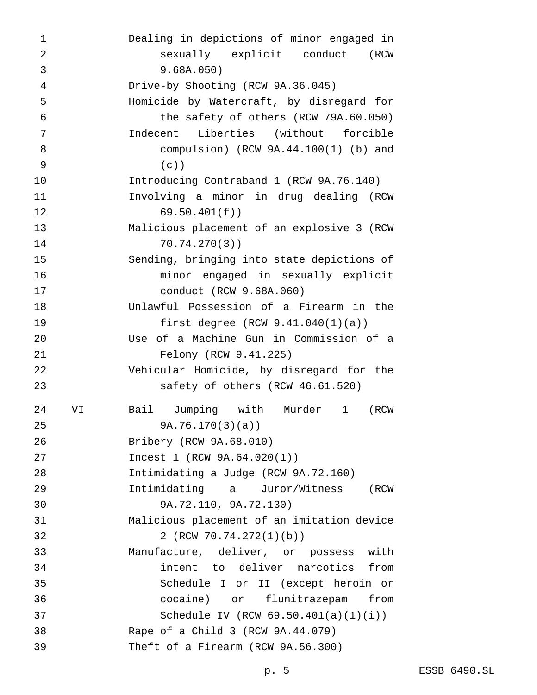| 1              |    | Dealing in depictions of minor engaged in  |
|----------------|----|--------------------------------------------|
| $\overline{2}$ |    | sexually explicit conduct<br>(RCW          |
| 3              |    | 9.68A.050)                                 |
| $\overline{4}$ |    | Drive-by Shooting (RCW 9A.36.045)          |
| 5              |    | Homicide by Watercraft, by disregard for   |
| 6              |    | the safety of others (RCW 79A.60.050)      |
| 7              |    | Indecent<br>Liberties (without forcible    |
| 8              |    | compulsion) (RCW $9A.44.100(1)$ (b) and    |
| 9              |    | $(c)$ )                                    |
| 10             |    | Introducing Contraband 1 (RCW 9A.76.140)   |
| 11             |    | Involving a minor in drug dealing (RCW     |
| 12             |    | 69.50.401(f)                               |
| 13             |    | Malicious placement of an explosive 3 (RCW |
| 14             |    | $70.74.270(3)$ )                           |
| 15             |    | Sending, bringing into state depictions of |
| 16             |    | minor engaged in sexually explicit         |
| 17             |    | conduct (RCW 9.68A.060)                    |
| 18             |    | Unlawful Possession of a Firearm in the    |
| 19             |    | first degree $(RCW 9.41.040(1)(a))$        |
| 20             |    | Use of a Machine Gun in Commission of a    |
| 21             |    | Felony (RCW 9.41.225)                      |
| 22             |    | Vehicular Homicide, by disregard for the   |
| 23             |    | safety of others (RCW 46.61.520)           |
| 24             | VI | Jumping with Murder 1<br>Bail<br>(RCW      |
| 25             |    | 9A.76.170(3)(a)                            |
| 26             |    | Bribery (RCW 9A.68.010)                    |
| 27             |    | Incest 1 (RCW 9A.64.020(1))                |
| 28             |    | Intimidating a Judge (RCW 9A.72.160)       |
| 29             |    | Intimidating a Juror/Witness<br>(RCW       |
| 30             |    | 9A.72.110, 9A.72.130)                      |
| 31             |    | Malicious placement of an imitation device |
| 32             |    | 2 (RCW 70.74.272(1)(b))                    |
| 33             |    | Manufacture, deliver, or possess with      |
| 34             |    | intent to deliver narcotics from           |
| 35             |    | Schedule I or II (except heroin or         |
| 36             |    | cocaine) or flunitrazepam from             |
| 37             |    | Schedule IV (RCW $69.50.401(a)(1)(i)$ )    |
| 38             |    | Rape of a Child 3 (RCW 9A.44.079)          |
| 39             |    | Theft of a Firearm (RCW 9A.56.300)         |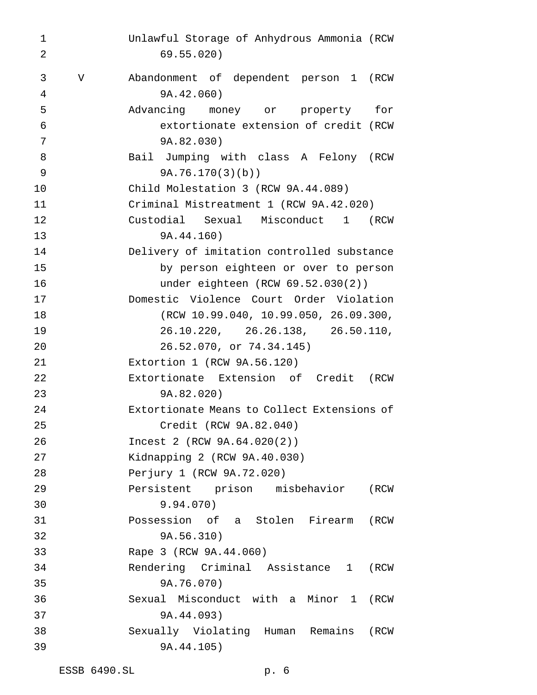| 1  |             | Unlawful Storage of Anhydrous Ammonia (RCW  |
|----|-------------|---------------------------------------------|
| 2  |             | 69.55.020)                                  |
| 3  | $\mathbf V$ | Abandonment of dependent person 1 (RCW      |
| 4  |             | 9A.42.060)                                  |
| 5  |             | Advancing money or property for             |
| 6  |             | extortionate extension of credit (RCW       |
| 7  |             | 9A.82.030)                                  |
| 8  |             | Bail Jumping with class A Felony (RCW       |
| 9  |             | 9A.76.170(3)(b)                             |
| 10 |             | Child Molestation 3 (RCW 9A.44.089)         |
| 11 |             | Criminal Mistreatment 1 (RCW 9A.42.020)     |
| 12 |             | Custodial Sexual Misconduct 1<br>(RCW       |
| 13 |             | 9A.44.160)                                  |
| 14 |             | Delivery of imitation controlled substance  |
| 15 |             | by person eighteen or over to person        |
| 16 |             | under eighteen $(RCW 69.52.030(2))$         |
| 17 |             | Domestic Violence Court Order Violation     |
| 18 |             | (RCW 10.99.040, 10.99.050, 26.09.300,       |
| 19 |             | 26.10.220, 26.26.138, 26.50.110,            |
| 20 |             | 26.52.070, or 74.34.145)                    |
| 21 |             | Extortion $1$ (RCW $9A.56.120$ )            |
| 22 |             | Extortionate Extension of Credit<br>(RCW    |
| 23 |             | 9A.82.020)                                  |
| 24 |             | Extortionate Means to Collect Extensions of |
| 25 |             | Credit (RCW 9A.82.040)                      |
| 26 |             | Incest 2 (RCW 9A.64.020(2))                 |
| 27 |             | Kidnapping 2 (RCW 9A.40.030)                |
| 28 |             | Perjury 1 (RCW 9A.72.020)                   |
| 29 |             | Persistent prison misbehavior<br>(RCW       |
| 30 |             | 9.94.070)                                   |
| 31 |             | Possession of a Stolen Firearm (RCW         |
| 32 |             | 9A.56.310)                                  |
| 33 |             | Rape 3 (RCW 9A.44.060)                      |
| 34 |             | Rendering Criminal Assistance 1 (RCW        |
| 35 |             | 9A.76.070)                                  |
| 36 |             | Sexual Misconduct with a Minor 1 (RCW       |
| 37 |             | 9A.44.093)                                  |
| 38 |             | Sexually Violating Human Remains<br>(RCW    |
| 39 |             | 9A.44.105)                                  |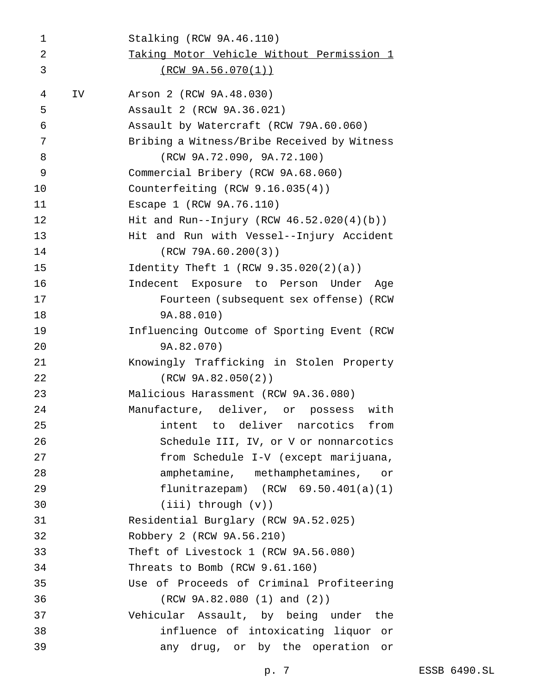| 1  |    | Stalking (RCW 9A.46.110)                     |
|----|----|----------------------------------------------|
| 2  |    | Taking Motor Vehicle Without Permission 1    |
| 3  |    | <u>(RCW 9A.56.070(1))</u>                    |
| 4  | IV | Arson 2 (RCW 9A.48.030)                      |
| 5  |    | Assault 2 (RCW 9A.36.021)                    |
| 6  |    | Assault by Watercraft (RCW 79A.60.060)       |
| 7  |    | Bribing a Witness/Bribe Received by Witness  |
| 8  |    | (RCW 9A.72.090, 9A.72.100)                   |
| 9  |    | Commercial Bribery (RCW 9A.68.060)           |
| 10 |    | Counterfeiting $(RCW 9.16.035(4))$           |
| 11 |    | Escape 1 (RCW 9A.76.110)                     |
| 12 |    | Hit and Run--Injury (RCW $46.52.020(4)(b)$ ) |
| 13 |    | Hit and Run with Vessel--Injury Accident     |
| 14 |    | (RCW 79A.60.200(3))                          |
| 15 |    | Identity Theft 1 (RCW $9.35.020(2)(a)$ )     |
| 16 |    | Indecent Exposure to Person Under<br>Aqe     |
| 17 |    | Fourteen (subsequent sex offense) (RCW       |
| 18 |    | 9A.88.010)                                   |
| 19 |    | Influencing Outcome of Sporting Event (RCW   |
| 20 |    | 9A.82.070)                                   |
| 21 |    | Knowingly Trafficking in Stolen Property     |
| 22 |    | (RCW 9A.82.050(2))                           |
| 23 |    | Malicious Harassment (RCW 9A.36.080)         |
| 24 |    | Manufacture, deliver, or possess<br>with     |
| 25 |    | intent to deliver narcotics from             |
| 26 |    | Schedule III, IV, or V or nonnarcotics       |
| 27 |    | from Schedule I-V (except marijuana,         |
| 28 |    | amphetamine, methamphetamines, or            |
| 29 |    | flunitrazepam) $(RCW 69.50.401(a)(1))$       |
| 30 |    | $(iii)$ through $(v)$ )                      |
| 31 |    | Residential Burglary (RCW 9A.52.025)         |
| 32 |    | Robbery 2 (RCW 9A.56.210)                    |
| 33 |    | Theft of Livestock 1 (RCW 9A.56.080)         |
| 34 |    | Threats to Bomb (RCW 9.61.160)               |
| 35 |    | Use of Proceeds of Criminal Profiteering     |
| 36 |    | (RCW 9A.82.080 (1) and (2))                  |
| 37 |    | Vehicular Assault, by being under<br>the     |
| 38 |    | influence of intoxicating liquor<br>or       |
| 39 |    | any drug, or by the operation<br>or          |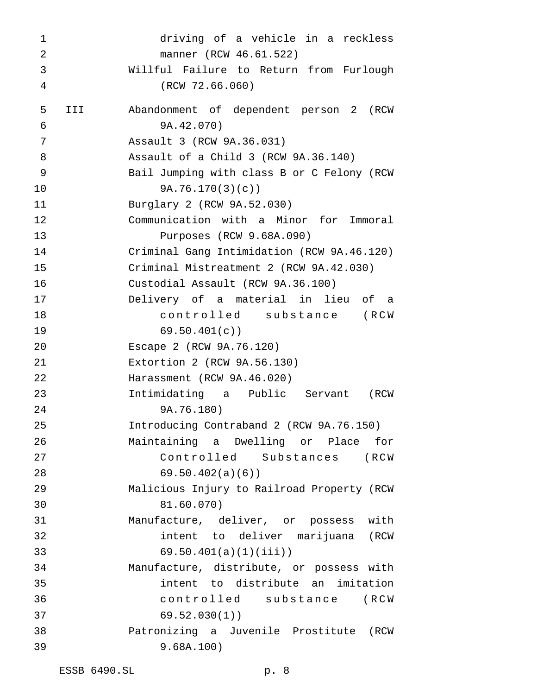driving of a vehicle in a reckless manner (RCW 46.61.522) Willful Failure to Return from Furlough (RCW 72.66.060) III Abandonment of dependent person 2 (RCW 9A.42.070) Assault 3 (RCW 9A.36.031) Assault of a Child 3 (RCW 9A.36.140) Bail Jumping with class B or C Felony (RCW 9A.76.170(3)(c)) Burglary 2 (RCW 9A.52.030) Communication with a Minor for Immoral Purposes (RCW 9.68A.090) Criminal Gang Intimidation (RCW 9A.46.120) Criminal Mistreatment 2 (RCW 9A.42.030) Custodial Assault (RCW 9A.36.100) Delivery of a material in lieu of a controlled substance (RCW 69.50.401(c)) Escape 2 (RCW 9A.76.120) Extortion 2 (RCW 9A.56.130) Harassment (RCW 9A.46.020) Intimidating a Public Servant (RCW 9A.76.180) Introducing Contraband 2 (RCW 9A.76.150) Maintaining a Dwelling or Place for Controlled Substances (RCW 69.50.402(a)(6)) Malicious Injury to Railroad Property (RCW 81.60.070) Manufacture, deliver, or possess with intent to deliver marijuana (RCW 69.50.401(a)(1)(iii)) Manufacture, distribute, or possess with intent to distribute an imitation controlled substance (RCW 69.52.030(1)) Patronizing a Juvenile Prostitute (RCW 9.68A.100)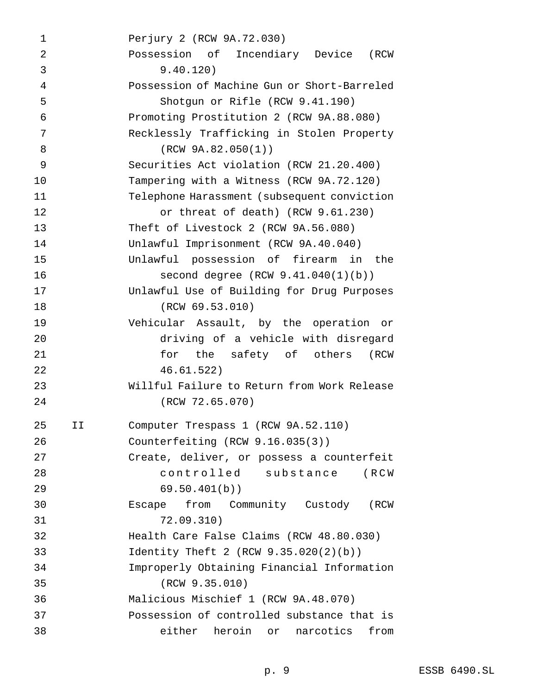Perjury 2 (RCW 9A.72.030) Possession of Incendiary Device (RCW 9.40.120) Possession of Machine Gun or Short-Barreled Shotgun or Rifle (RCW 9.41.190) Promoting Prostitution 2 (RCW 9A.88.080) Recklessly Trafficking in Stolen Property (RCW 9A.82.050(1)) Securities Act violation (RCW 21.20.400) Tampering with a Witness (RCW 9A.72.120) Telephone Harassment (subsequent conviction or threat of death) (RCW 9.61.230) Theft of Livestock 2 (RCW 9A.56.080) Unlawful Imprisonment (RCW 9A.40.040) Unlawful possession of firearm in the second degree (RCW 9.41.040(1)(b)) Unlawful Use of Building for Drug Purposes (RCW 69.53.010) Vehicular Assault, by the operation or driving of a vehicle with disregard for the safety of others (RCW 46.61.522) Willful Failure to Return from Work Release (RCW 72.65.070) II Computer Trespass 1 (RCW 9A.52.110) Counterfeiting (RCW 9.16.035(3)) Create, deliver, or possess a counterfeit controlled substance (RCW 69.50.401(b)) Escape from Community Custody (RCW 72.09.310) Health Care False Claims (RCW 48.80.030) Identity Theft 2 (RCW 9.35.020(2)(b)) Improperly Obtaining Financial Information (RCW 9.35.010) Malicious Mischief 1 (RCW 9A.48.070) Possession of controlled substance that is either heroin or narcotics from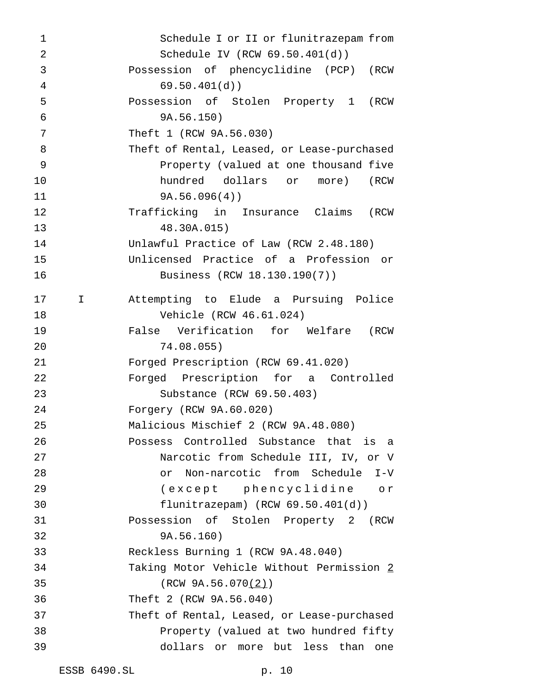| $\mathbf 1$    |             | Schedule I or II or flunitrazepam from      |
|----------------|-------------|---------------------------------------------|
| $\overline{2}$ |             | Schedule IV (RCW $69.50.401(d)$ )           |
| 3              |             | Possession of phencyclidine (PCP) (RCW      |
| $\overline{4}$ |             | 69.50.401(d)                                |
| 5              |             | Possession of Stolen Property 1 (RCW        |
| 6              |             | 9A.56.150)                                  |
| 7              |             | Theft 1 (RCW 9A.56.030)                     |
| 8              |             | Theft of Rental, Leased, or Lease-purchased |
| 9              |             | Property (valued at one thousand five       |
| 10             |             | hundred dollars or more) (RCW               |
| 11             |             | 9A.56.096(4)                                |
| 12             |             | Trafficking in Insurance Claims (RCW        |
| 13             |             | 48.30A.015)                                 |
| 14             |             | Unlawful Practice of Law (RCW 2.48.180)     |
| 15             |             | Unlicensed Practice of a Profession or      |
| 16             |             | Business (RCW 18.130.190(7))                |
| 17             | $\mathbf I$ | Attempting to Elude a Pursuing Police       |
| 18             |             | Vehicle (RCW 46.61.024)                     |
| 19             |             | False Verification for Welfare (RCW         |
| 20             |             | 74.08.055)                                  |
| 21             |             | Forged Prescription (RCW 69.41.020)         |
| 22             |             | Forged Prescription for a Controlled        |
| 23             |             | Substance (RCW 69.50.403)                   |
| 24             |             | Forgery (RCW 9A.60.020)                     |
| 25             |             | Malicious Mischief 2 (RCW 9A.48.080)        |
| 26             |             | Possess Controlled Substance that is a      |
| 27             |             | Narcotic from Schedule III, IV, or V        |
| 28             |             | Non-narcotic from Schedule I-V<br>or        |
| 29             |             | (except phencyclidine or                    |
| 30             |             | flunitrazepam) $(RCW 69.50.401(d))$         |
| 31             |             | Possession of Stolen Property 2 (RCW        |
| 32             |             | 9A.56.160)                                  |
| 33             |             | Reckless Burning 1 (RCW 9A.48.040)          |
| 34             |             | Taking Motor Vehicle Without Permission 2   |
| 35             |             | (RCW 9A.56.070(2))                          |
| 36             |             | Theft 2 (RCW 9A.56.040)                     |
| 37             |             | Theft of Rental, Leased, or Lease-purchased |
| 38             |             | Property (valued at two hundred fifty       |
| 39             |             | dollars or more but less than<br>one        |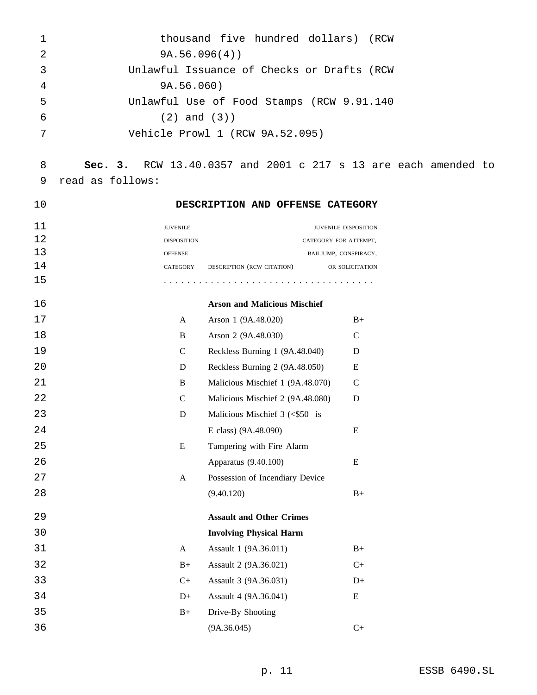| $\mathbf{1}$ | thousand five hundred dollars) (RCW        |
|--------------|--------------------------------------------|
| 2            | 9A.56.096(4)                               |
| 3            | Unlawful Issuance of Checks or Drafts (RCW |
| 4            | 9A.56.060)                                 |
| 5            | Unlawful Use of Food Stamps (RCW 9.91.140  |
| 6            | $(2)$ and $(3)$ )                          |
| 7            | Vehicle Prowl 1 (RCW 9A.52.095)            |
|              |                                            |

# **Sec. 3.** RCW 13.40.0357 and 2001 c 217 s 13 are each amended to read as follows:

# **DESCRIPTION AND OFFENSE CATEGORY**

| 11 | <b>JUVENILE</b>    |                            | <b>JUVENILE DISPOSITION</b> |
|----|--------------------|----------------------------|-----------------------------|
| 12 | <b>DISPOSITION</b> |                            | CATEGORY FOR ATTEMPT,       |
| 13 | <b>OFFENSE</b>     |                            | BAILJUMP, CONSPIRACY,       |
| 14 | CATEGORY           | DESCRIPTION (RCW CITATION) | OR SOLICITATION             |
| 15 |                    |                            |                             |

| 16 |              | <b>Arson and Malicious Mischief</b> |               |
|----|--------------|-------------------------------------|---------------|
| 17 | A            | Arson 1 (9A.48.020)                 | $B+$          |
| 18 | B            | Arson 2 (9A.48.030)                 | $\mathcal{C}$ |
| 19 | $\mathsf{C}$ | Reckless Burning 1 (9A.48.040)      | D             |
| 20 | D            | Reckless Burning 2 (9A.48.050)      | Ε             |
| 21 | B            | Malicious Mischief 1 (9A.48.070)    | C             |
| 22 | $\mathsf{C}$ | Malicious Mischief 2 (9A.48.080)    | D             |
| 23 | D            | Malicious Mischief $3 \leq 50$ is   |               |
| 24 |              | E class) (9A.48.090)                | E             |
| 25 | E            | Tampering with Fire Alarm           |               |
| 26 |              | Apparatus (9.40.100)                | E             |
| 27 | A            | Possession of Incendiary Device     |               |
| 28 |              | (9.40.120)                          | $B+$          |
| 29 |              | <b>Assault and Other Crimes</b>     |               |
| 30 |              | <b>Involving Physical Harm</b>      |               |
| 31 | A            | Assault 1 (9A.36.011)               | $B+$          |
| 32 | $B+$         | Assault 2 (9A.36.021)               | $C+$          |
| 33 | $C+$         | Assault 3 (9A.36.031)               | $D+$          |
| 34 | $D+$         | Assault 4 (9A.36.041)               | Ε             |
| 35 | $B+$         | Drive-By Shooting                   |               |
| 36 |              | (9A.36.045)                         | $C+$          |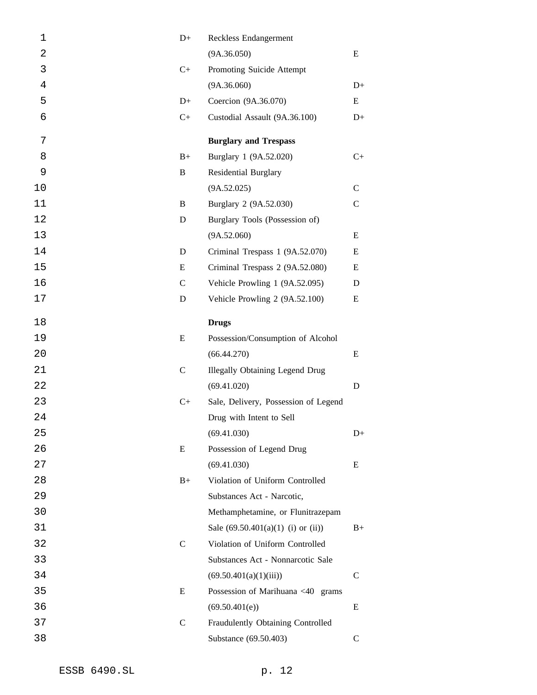| 1  | $D+$        | Reckless Endangerment                  |              |
|----|-------------|----------------------------------------|--------------|
| 2  |             | (9A.36.050)                            | E            |
| 3  | $C+$        | Promoting Suicide Attempt              |              |
| 4  |             | (9A.36.060)                            | $D+$         |
| 5  | $D+$        | Coercion (9A.36.070)                   | E            |
| 6  | $C+$        | Custodial Assault (9A.36.100)          | $D+$         |
| 7  |             | <b>Burglary and Trespass</b>           |              |
| 8  | $B+$        | Burglary 1 (9A.52.020)                 | $C+$         |
| 9  | B           | <b>Residential Burglary</b>            |              |
| 10 |             | (9A.52.025)                            | $\mathbf C$  |
| 11 | B           | Burglary 2 (9A.52.030)                 | $\mathsf{C}$ |
| 12 | D           | Burglary Tools (Possession of)         |              |
| 13 |             | (9A.52.060)                            | Ε            |
| 14 | D           | Criminal Trespass 1 (9A.52.070)        | Ε            |
| 15 | Ε           | Criminal Trespass 2 (9A.52.080)        | Ε            |
| 16 | $\mathbf C$ | Vehicle Prowling 1 (9A.52.095)         | D            |
| 17 | D           | Vehicle Prowling 2 (9A.52.100)         | Ε            |
| 18 |             | <b>Drugs</b>                           |              |
| 19 | E           | Possession/Consumption of Alcohol      |              |
| 20 |             | (66.44.270)                            | E            |
| 21 | $\mathbf C$ | <b>Illegally Obtaining Legend Drug</b> |              |
| 22 |             | (69.41.020)                            | D            |
| 23 | $C+$        | Sale, Delivery, Possession of Legend   |              |
| 24 |             | Drug with Intent to Sell               |              |
| 25 |             | (69.41.030)                            | $D+$         |
| 26 | E           | Possession of Legend Drug              |              |
| 27 |             | (69.41.030)                            | E            |
| 28 | $B+$        | Violation of Uniform Controlled        |              |
| 29 |             | Substances Act - Narcotic,             |              |
| 30 |             | Methamphetamine, or Flunitrazepam      |              |
| 31 |             | Sale $(69.50.401(a)(1)$ (i) or (ii))   | $B+$         |
| 32 | $\mathbf C$ | Violation of Uniform Controlled        |              |
| 33 |             | Substances Act - Nonnarcotic Sale      |              |
| 34 |             | (69.50.401(a)(1)(iii))                 | $\mathsf{C}$ |
| 35 | E           | Possession of Marihuana <40 grams      |              |
| 36 |             | (69.50.401(e))                         | E            |
| 37 | $\mathbf C$ | Fraudulently Obtaining Controlled      |              |
| 38 |             | Substance (69.50.403)                  | $\mathbf C$  |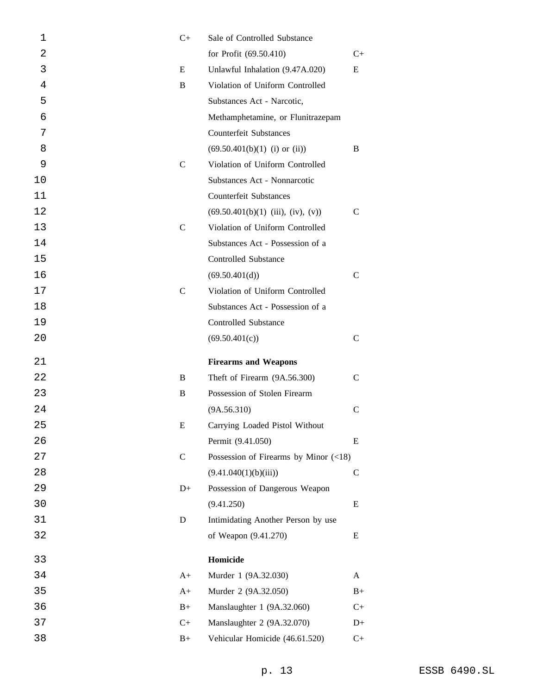| 1  | $C+$         | Sale of Controlled Substance                           |               |
|----|--------------|--------------------------------------------------------|---------------|
| 2  |              | for Profit (69.50.410)                                 | C+            |
| 3  | E            | Unlawful Inhalation (9.47A.020)                        | E             |
| 4  | B            | Violation of Uniform Controlled                        |               |
| 5  |              | Substances Act - Narcotic,                             |               |
| 6  |              | Methamphetamine, or Flunitrazepam                      |               |
| 7  |              | <b>Counterfeit Substances</b>                          |               |
| 8  |              | $(69.50.401(b)(1)$ (i) or (ii))                        | B             |
| 9  | $\mathsf{C}$ | Violation of Uniform Controlled                        |               |
| 10 |              | Substances Act - Nonnarcotic                           |               |
| 11 |              | <b>Counterfeit Substances</b>                          |               |
| 12 |              | $(69.50.401(b)(1)$ (iii), (iv), (v))                   | $\mathcal{C}$ |
| 13 | $\mathsf{C}$ | Violation of Uniform Controlled                        |               |
| 14 |              | Substances Act - Possession of a                       |               |
| 15 |              | <b>Controlled Substance</b>                            |               |
| 16 |              | (69.50.401(d))                                         | $\mathsf{C}$  |
| 17 | $\mathsf{C}$ | Violation of Uniform Controlled                        |               |
| 18 |              | Substances Act - Possession of a                       |               |
| 19 |              | <b>Controlled Substance</b>                            |               |
| 20 |              | (69.50.401(c))                                         | $\mathsf{C}$  |
| 21 |              | <b>Firearms and Weapons</b>                            |               |
| 22 | B            | Theft of Firearm (9A.56.300)                           | $\mathcal{C}$ |
| 23 | B            | Possession of Stolen Firearm                           |               |
| 24 |              | (9A.56.310)                                            | $\mathsf{C}$  |
| 25 | Е            | Carrying Loaded Pistol Without                         |               |
| 26 |              | Permit (9.41.050)                                      | E             |
| 27 | $\mathsf{C}$ | Possession of Firearms by Minor $(\langle 18 \rangle)$ |               |
| 28 |              | (9.41.040(1)(b)(iii))                                  | $\mathbf C$   |
| 29 | $D+$         | Possession of Dangerous Weapon                         |               |
| 30 |              | (9.41.250)                                             | E             |
| 31 | D            | Intimidating Another Person by use                     |               |
| 32 |              | of Weapon (9.41.270)                                   | E             |
| 33 |              | Homicide                                               |               |
| 34 | $A+$         | Murder 1 (9A.32.030)                                   | A             |
| 35 | $A+$         | Murder 2 (9A.32.050)                                   | $B+$          |
| 36 | $B+$         | Manslaughter 1 (9A.32.060)                             | $C+$          |
| 37 | $C+$         | Manslaughter 2 (9A.32.070)                             | $D+$          |
| 38 | $B+$         | Vehicular Homicide (46.61.520)                         | $C+$          |
|    |              |                                                        |               |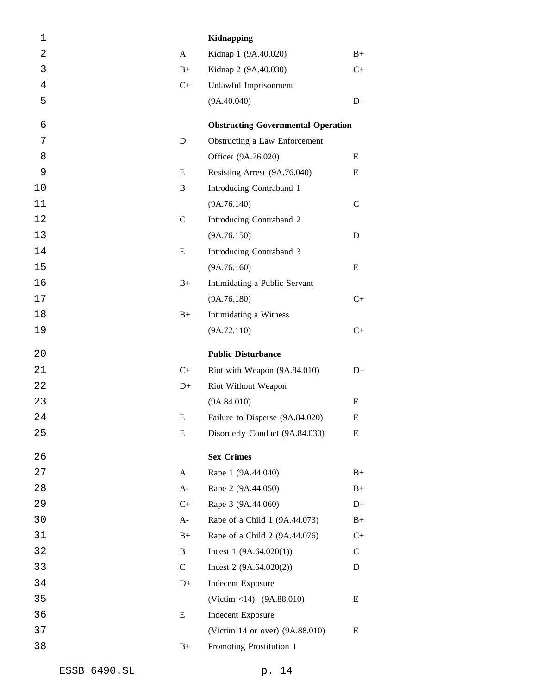| 1  |              | <b>Kidnapping</b>                         |             |
|----|--------------|-------------------------------------------|-------------|
| 2  | A            | Kidnap 1 (9A.40.020)                      | $B+$        |
| 3  | $B+$         | Kidnap 2 (9A.40.030)                      | $C+$        |
| 4  | $C+$         | Unlawful Imprisonment                     |             |
| 5  |              | (9A.40.040)                               | $D+$        |
| 6  |              | <b>Obstructing Governmental Operation</b> |             |
| 7  | D            | Obstructing a Law Enforcement             |             |
| 8  |              | Officer (9A.76.020)                       | E           |
| 9  | E            | Resisting Arrest (9A.76.040)              | E           |
| 10 | B            | Introducing Contraband 1                  |             |
| 11 |              | (9A.76.140)                               | C           |
| 12 | $\mathbf C$  | Introducing Contraband 2                  |             |
| 13 |              | (9A.76.150)                               | D           |
| 14 | E            | Introducing Contraband 3                  |             |
| 15 |              | (9A.76.160)                               | Ε           |
| 16 | $B+$         | Intimidating a Public Servant             |             |
| 17 |              | (9A.76.180)                               | $C+$        |
| 18 | $B+$         | Intimidating a Witness                    |             |
| 19 |              | (9A.72.110)                               | $C+$        |
|    |              |                                           |             |
| 20 |              | <b>Public Disturbance</b>                 |             |
| 21 | $C+$         | Riot with Weapon (9A.84.010)              | $D+$        |
| 22 | $D+$         | Riot Without Weapon                       |             |
| 23 |              | (9A.84.010)                               | Ε           |
| 24 | E            | Failure to Disperse (9A.84.020)           | E           |
| 25 | E            | Disorderly Conduct (9A.84.030)            | E           |
| 26 |              | <b>Sex Crimes</b>                         |             |
| 27 | $\mathbf{A}$ | Rape 1 (9A.44.040)                        | $B+$        |
| 28 | $A-$         | Rape 2 (9A.44.050)                        | $B+$        |
| 29 | $C+$         | Rape 3 (9A.44.060)                        | $D+$        |
| 30 | $A-$         | Rape of a Child 1 (9A.44.073)             | $B+$        |
| 31 | $B+$         | Rape of a Child 2 (9A.44.076)             | $C+$        |
| 32 | B            | Incest $1(9A.64.020(1))$                  | $\mathbf C$ |
| 33 | $\mathsf{C}$ | Incest 2 $(9A.64.020(2))$                 | D           |
| 34 | $D+$         | Indecent Exposure                         |             |
| 35 |              | (Victim <14) (9A.88.010)                  | E           |
| 36 | E            | <b>Indecent Exposure</b>                  |             |
| 37 |              | (Victim 14 or over) (9A.88.010)           | E           |
| 38 | $B+$         | Promoting Prostitution 1                  |             |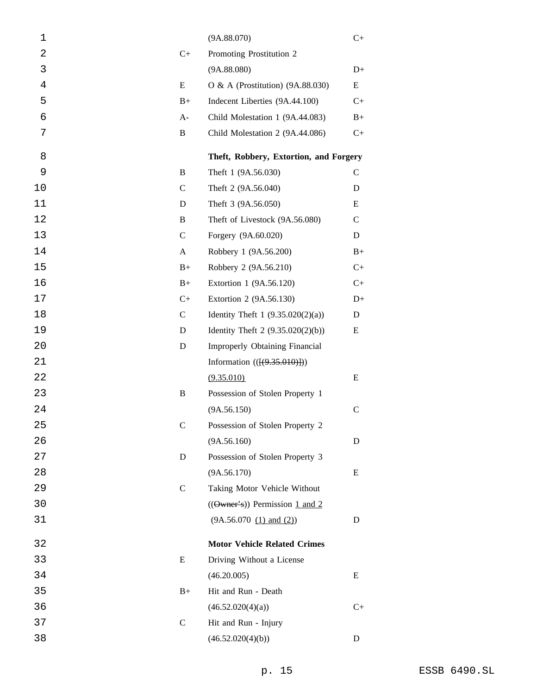| 1  |               | (9A.88.070)                                   | $C+$          |
|----|---------------|-----------------------------------------------|---------------|
| 2  | $C+$          | Promoting Prostitution 2                      |               |
| 3  |               | (9A.88.080)                                   | $D+$          |
| 4  | E             | O & A (Prostitution) $(9A.88.030)$            | E             |
| 5  | $B+$          | Indecent Liberties (9A.44.100)                | $C+$          |
| 6  | $A-$          | Child Molestation 1 (9A.44.083)               | $B+$          |
| 7  | B             | Child Molestation 2 (9A.44.086)               | $C+$          |
| 8  |               | Theft, Robbery, Extortion, and Forgery        |               |
| 9  | B             | Theft 1 (9A.56.030)                           | $\mathcal{C}$ |
| 10 | $\mathsf{C}$  | Theft 2 (9A.56.040)                           | D             |
| 11 | D             | Theft 3 (9A.56.050)                           | E             |
| 12 | B             | Theft of Livestock (9A.56.080)                | $\mathcal{C}$ |
| 13 | $\mathsf{C}$  | Forgery (9A.60.020)                           | D             |
| 14 | A             | Robbery 1 (9A.56.200)                         | $B+$          |
| 15 | $B+$          | Robbery 2 (9A.56.210)                         | $C+$          |
| 16 | $B+$          | Extortion 1 (9A.56.120)                       | $C+$          |
| 17 | $C+$          | Extortion 2 (9A.56.130)                       | $D+$          |
| 18 | $\mathcal{C}$ | Identity Theft 1 $(9.35.020(2)(a))$           | D             |
| 19 | D             | Identity Theft 2 $(9.35.020(2)(b))$           | E             |
| 20 | D             | Improperly Obtaining Financial                |               |
| 21 |               | Information $((\{(9.35.010)\})$               |               |
| 22 |               | (9.35.010)                                    | E             |
| 23 | $\, {\bf B}$  | Possession of Stolen Property 1               |               |
| 24 |               | (9A.56.150)                                   | $\mathcal{C}$ |
| 25 | $\mathsf{C}$  | Possession of Stolen Property 2               |               |
| 26 |               | (9A.56.160)                                   | D             |
| 27 | D             | Possession of Stolen Property 3               |               |
| 28 |               | (9A.56.170)                                   | E             |
| 29 | $\mathsf{C}$  | Taking Motor Vehicle Without                  |               |
| 30 |               | $((\Theta \text{wner's}))$ Permission 1 and 2 |               |
| 31 |               | (9A.56.070 (1) and (2))                       | D             |
| 32 |               | <b>Motor Vehicle Related Crimes</b>           |               |
| 33 | E             | Driving Without a License                     |               |
| 34 |               | (46.20.005)                                   | E             |
| 35 | $B+$          | Hit and Run - Death                           |               |
| 36 |               | (46.52.020(4)(a))                             | $C+$          |
| 37 | $\mathsf{C}$  | Hit and Run - Injury                          |               |
| 38 |               | (46.52.020(4)(b))                             | D             |
|    |               |                                               |               |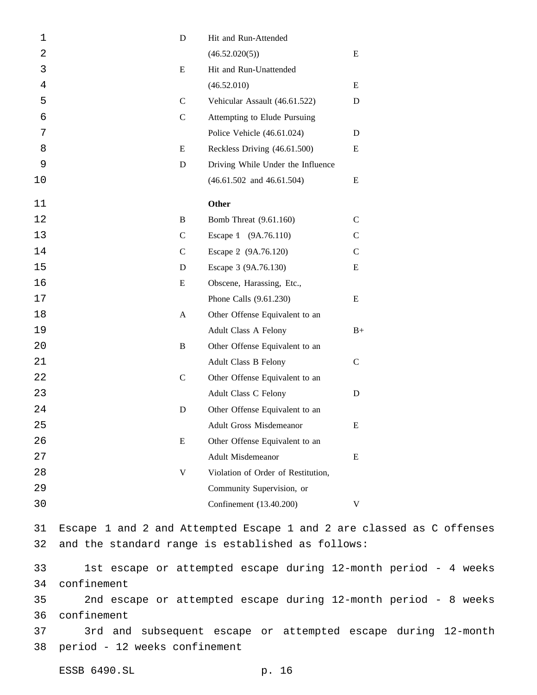| 1  | ${\bf D}$                     | Hit and Run-Attended                              |                                                                       |
|----|-------------------------------|---------------------------------------------------|-----------------------------------------------------------------------|
| 2  |                               | (46.52.020(5))                                    | E                                                                     |
| 3  | E                             | Hit and Run-Unattended                            |                                                                       |
| 4  |                               | (46.52.010)                                       | Ε                                                                     |
| 5  | $\mathbf C$                   | Vehicular Assault (46.61.522)                     | ${\bf D}$                                                             |
| 6  | $\mathbf C$                   | Attempting to Elude Pursuing                      |                                                                       |
| 7  |                               | Police Vehicle (46.61.024)                        | D                                                                     |
| 8  | ${\bf E}$                     | Reckless Driving (46.61.500)                      | E                                                                     |
| 9  | ${\bf D}$                     | Driving While Under the Influence                 |                                                                       |
| 10 |                               | $(46.61.502$ and $46.61.504)$                     | Ε                                                                     |
| 11 |                               | Other                                             |                                                                       |
| 12 | $\, {\bf B}$                  | Bomb Threat (9.61.160)                            | $\mathcal{C}$                                                         |
| 13 | $\mathsf{C}$                  | Escape 1 (9A.76.110)                              | $\mathsf{C}$                                                          |
| 14 | $\mathbf C$                   | Escape 2 (9A.76.120)                              | $\mathsf{C}$                                                          |
| 15 | D                             | Escape 3 (9A.76.130)                              | E                                                                     |
| 16 | ${\bf E}$                     | Obscene, Harassing, Etc.,                         |                                                                       |
| 17 |                               | Phone Calls (9.61.230)                            | Ε                                                                     |
| 18 | $\mathbf{A}$                  | Other Offense Equivalent to an                    |                                                                       |
| 19 |                               | Adult Class A Felony                              | $B+$                                                                  |
| 20 | $\, {\bf B}$                  | Other Offense Equivalent to an                    |                                                                       |
| 21 |                               | Adult Class B Felony                              | $\mathbf C$                                                           |
| 22 | $\mathbf C$                   | Other Offense Equivalent to an                    |                                                                       |
| 23 |                               | Adult Class C Felony                              | ${\bf D}$                                                             |
| 24 | D                             | Other Offense Equivalent to an                    |                                                                       |
| 25 |                               | Adult Gross Misdemeanor                           | E                                                                     |
| 26 | ${\bf E}$                     | Other Offense Equivalent to an                    |                                                                       |
| 27 |                               | <b>Adult Misdemeanor</b>                          | E                                                                     |
| 28 | V                             | Violation of Order of Restitution,                |                                                                       |
| 29 |                               | Community Supervision, or                         |                                                                       |
| 30 |                               | Confinement (13.40.200)                           | V                                                                     |
| 31 |                               |                                                   | Escape 1 and 2 and Attempted Escape 1 and 2 are classed as C offenses |
| 32 |                               | and the standard range is established as follows: |                                                                       |
| 33 |                               |                                                   | 1st escape or attempted escape during 12-month period - 4 weeks       |
| 34 | confinement                   |                                                   |                                                                       |
| 35 |                               |                                                   | 2nd escape or attempted escape during 12-month period - 8 weeks       |
| 36 | confinement                   |                                                   |                                                                       |
| 37 |                               |                                                   | 3rd and subsequent escape or attempted escape during 12-month         |
| 38 | period - 12 weeks confinement |                                                   |                                                                       |

ESSB 6490.SL p. 16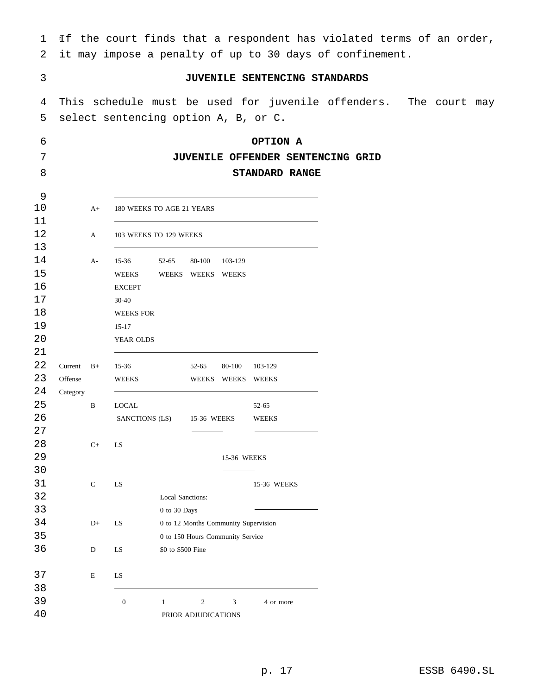| $\mathbf 1$ |          |              |                                      |                                  |                                      |                   | If the court finds that a respondent has violated terms of an order, |  |  |  |
|-------------|----------|--------------|--------------------------------------|----------------------------------|--------------------------------------|-------------------|----------------------------------------------------------------------|--|--|--|
| 2           |          |              |                                      |                                  |                                      |                   | it may impose a penalty of up to 30 days of confinement.             |  |  |  |
| 3           |          |              |                                      |                                  |                                      |                   | JUVENILE SENTENCING STANDARDS                                        |  |  |  |
| 4           |          |              |                                      |                                  |                                      |                   | This schedule must be used for juvenile offenders. The court may     |  |  |  |
| 5           |          |              | select sentencing option A, B, or C. |                                  |                                      |                   |                                                                      |  |  |  |
| 6           |          |              |                                      |                                  |                                      |                   | OPTION A                                                             |  |  |  |
| 7           |          |              |                                      |                                  |                                      |                   | JUVENILE OFFENDER SENTENCING GRID                                    |  |  |  |
| 8           |          |              |                                      |                                  |                                      |                   | STANDARD RANGE                                                       |  |  |  |
| 9           |          |              |                                      |                                  |                                      |                   |                                                                      |  |  |  |
| 10<br>11    |          | $A+$         | 180 WEEKS TO AGE 21 YEARS            |                                  |                                      |                   |                                                                      |  |  |  |
| 12          |          | A            | 103 WEEKS TO 129 WEEKS               |                                  |                                      |                   |                                                                      |  |  |  |
| 13          |          |              |                                      |                                  |                                      |                   |                                                                      |  |  |  |
| 14          |          | $A-$         | 15-36                                | 52-65                            | 80-100                               | 103-129           |                                                                      |  |  |  |
| 15          |          |              | <b>WEEKS</b>                         |                                  | WEEKS WEEKS WEEKS                    |                   |                                                                      |  |  |  |
| 16          |          |              | <b>EXCEPT</b>                        |                                  |                                      |                   |                                                                      |  |  |  |
| 17          |          |              | $30 - 40$                            |                                  |                                      |                   |                                                                      |  |  |  |
| 18          |          |              | <b>WEEKS FOR</b>                     |                                  |                                      |                   |                                                                      |  |  |  |
| 19          |          |              | $15 - 17$                            |                                  |                                      |                   |                                                                      |  |  |  |
| 20          |          |              | YEAR OLDS                            |                                  |                                      |                   |                                                                      |  |  |  |
| 21          |          |              |                                      |                                  |                                      |                   |                                                                      |  |  |  |
| 22          | Current  | $B+$         | $15-36$                              |                                  | 52-65                                | 80-100            | 103-129                                                              |  |  |  |
| 23          | Offense  |              | <b>WEEKS</b>                         |                                  |                                      | WEEKS WEEKS WEEKS |                                                                      |  |  |  |
| 24<br>25    | Category | $\, {\bf B}$ | <b>LOCAL</b>                         |                                  |                                      |                   |                                                                      |  |  |  |
| 26          |          |              | SANCTIONS (LS)                       |                                  | 15-36 WEEKS                          |                   | 52-65<br>WEEKS                                                       |  |  |  |
| 27          |          |              |                                      |                                  |                                      |                   |                                                                      |  |  |  |
| 28          |          | $C+$         | LS                                   |                                  |                                      |                   |                                                                      |  |  |  |
| 29          |          |              |                                      |                                  |                                      | 15-36 WEEKS       |                                                                      |  |  |  |
| 30          |          |              |                                      |                                  |                                      |                   |                                                                      |  |  |  |
| 31          |          | ${\bf C}$    | LS                                   |                                  |                                      |                   | 15-36 WEEKS                                                          |  |  |  |
| 32          |          |              |                                      | Local Sanctions:                 |                                      |                   |                                                                      |  |  |  |
| 33          |          |              |                                      | 0 to 30 Days                     |                                      |                   |                                                                      |  |  |  |
| 34          |          | $D+$         | LS                                   |                                  | 0 to 12 Months Community Supervision |                   |                                                                      |  |  |  |
| 35          |          |              |                                      | 0 to 150 Hours Community Service |                                      |                   |                                                                      |  |  |  |
| 36          |          | $\mathbf D$  | LS                                   | \$0 to \$500 Fine                |                                      |                   |                                                                      |  |  |  |
| 37          |          | $\mathbf E$  | LS                                   |                                  |                                      |                   |                                                                      |  |  |  |
| 38          |          |              |                                      |                                  |                                      |                   |                                                                      |  |  |  |
| 39          |          |              | $\boldsymbol{0}$                     | $\mathbf{1}$                     | $\overline{2}$                       | 3                 | 4 or more                                                            |  |  |  |
| 40          |          |              |                                      |                                  | PRIOR ADJUDICATIONS                  |                   |                                                                      |  |  |  |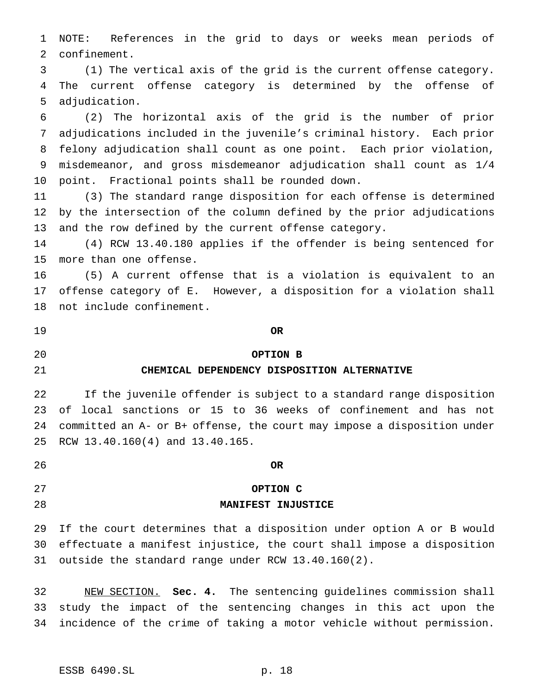NOTE: References in the grid to days or weeks mean periods of confinement.

 (1) The vertical axis of the grid is the current offense category. The current offense category is determined by the offense of adjudication.

 (2) The horizontal axis of the grid is the number of prior adjudications included in the juvenile's criminal history. Each prior felony adjudication shall count as one point. Each prior violation, misdemeanor, and gross misdemeanor adjudication shall count as 1/4 point. Fractional points shall be rounded down.

 (3) The standard range disposition for each offense is determined by the intersection of the column defined by the prior adjudications and the row defined by the current offense category.

 (4) RCW 13.40.180 applies if the offender is being sentenced for more than one offense.

 (5) A current offense that is a violation is equivalent to an offense category of E. However, a disposition for a violation shall not include confinement.

**OR**

**OPTION B**

# **CHEMICAL DEPENDENCY DISPOSITION ALTERNATIVE**

 If the juvenile offender is subject to a standard range disposition of local sanctions or 15 to 36 weeks of confinement and has not committed an A- or B+ offense, the court may impose a disposition under RCW 13.40.160(4) and 13.40.165.

**OR**

## **OPTION C**

## **MANIFEST INJUSTICE**

 If the court determines that a disposition under option A or B would effectuate a manifest injustice, the court shall impose a disposition outside the standard range under RCW 13.40.160(2).

 NEW SECTION. **Sec. 4.** The sentencing guidelines commission shall study the impact of the sentencing changes in this act upon the incidence of the crime of taking a motor vehicle without permission.